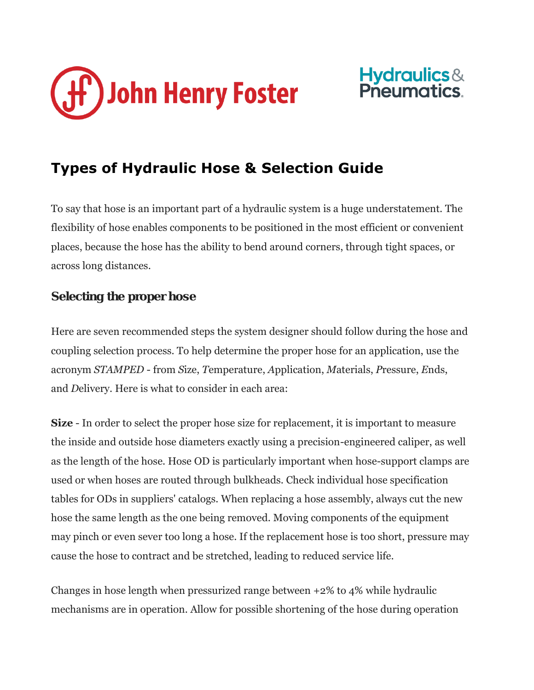



## **Types of Hydraulic Hose & Selection Guide**

To say that hose is an important part of a hydraulic system is a huge understatement. The flexibility of hose enables components to be positioned in the most efficient or convenient places, because the hose has the ability to bend around corners, through tight spaces, or across long distances.

## Selecting the proper hose

Here are seven recommended steps the system designer should follow during the hose and coupling selection process. To help determine the proper hose for an application, use the acronym *STAMPED* - from *S*ize, *T*emperature, *A*pplication, *M*aterials, *P*ressure, *E*nds, and *D*elivery. Here is what to consider in each area:

**Size** - In order to select the proper hose size for replacement, it is important to measure the inside and outside hose diameters exactly using a precision-engineered caliper, as well as the length of the hose. Hose OD is particularly important when hose-support clamps are used or when hoses are routed through bulkheads. Check individual hose specification tables for ODs in suppliers' catalogs. When replacing a hose assembly, always cut the new hose the same length as the one being removed. Moving components of the equipment may pinch or even sever too long a hose. If the replacement hose is too short, pressure may cause the hose to contract and be stretched, leading to reduced service life.

Changes in hose length when pressurized range between +2% to 4% while hydraulic mechanisms are in operation. Allow for possible shortening of the hose during operation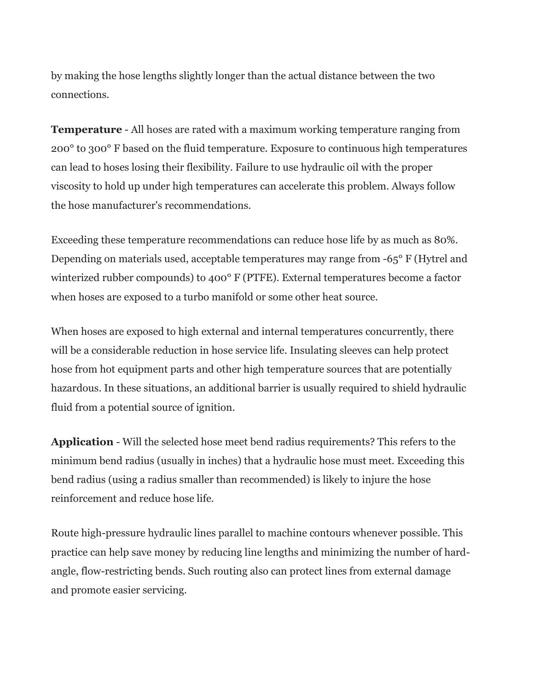by making the hose lengths slightly longer than the actual distance between the two connections.

**Temperature** - All hoses are rated with a maximum working temperature ranging from 200° to 300° F based on the fluid temperature. Exposure to continuous high temperatures can lead to hoses losing their flexibility. Failure to use hydraulic oil with the proper viscosity to hold up under high temperatures can accelerate this problem. Always follow the hose manufacturer's recommendations.

Exceeding these temperature recommendations can reduce hose life by as much as 80%. Depending on materials used, acceptable temperatures may range from -65° F (Hytrel and winterized rubber compounds) to 400° F (PTFE). External temperatures become a factor when hoses are exposed to a turbo manifold or some other heat source.

When hoses are exposed to high external and internal temperatures concurrently, there will be a considerable reduction in hose service life. Insulating sleeves can help protect hose from hot equipment parts and other high temperature sources that are potentially hazardous. In these situations, an additional barrier is usually required to shield hydraulic fluid from a potential source of ignition.

**Application** - Will the selected hose meet bend radius requirements? This refers to the minimum bend radius (usually in inches) that a hydraulic hose must meet. Exceeding this bend radius (using a radius smaller than recommended) is likely to injure the hose reinforcement and reduce hose life.

Route high-pressure hydraulic lines parallel to machine contours whenever possible. This practice can help save money by reducing line lengths and minimizing the number of hardangle, flow-restricting bends. Such routing also can protect lines from external damage and promote easier servicing.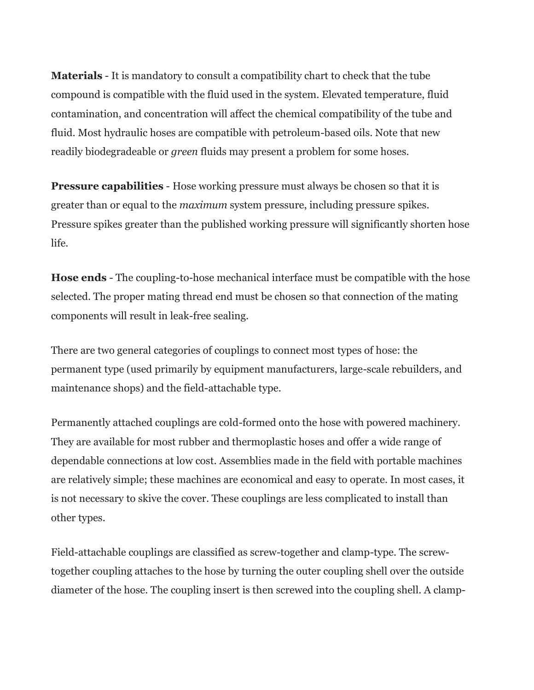**Materials** - It is mandatory to consult a compatibility chart to check that the tube compound is compatible with the fluid used in the system. Elevated temperature, fluid contamination, and concentration will affect the chemical compatibility of the tube and fluid. Most hydraulic hoses are compatible with petroleum-based oils. Note that new readily biodegradeable or *green* fluids may present a problem for some hoses.

**Pressure capabilities** - Hose working pressure must always be chosen so that it is greater than or equal to the *maximum* system pressure, including pressure spikes. Pressure spikes greater than the published working pressure will significantly shorten hose life.

**Hose ends** - The coupling-to-hose mechanical interface must be compatible with the hose selected. The proper mating thread end must be chosen so that connection of the mating components will result in leak-free sealing.

There are two general categories of couplings to connect most types of hose: the permanent type (used primarily by equipment manufacturers, large-scale rebuilders, and maintenance shops) and the field-attachable type.

Permanently attached couplings are cold-formed onto the hose with powered machinery. They are available for most rubber and thermoplastic hoses and offer a wide range of dependable connections at low cost. Assemblies made in the field with portable machines are relatively simple; these machines are economical and easy to operate. In most cases, it is not necessary to skive the cover. These couplings are less complicated to install than other types.

Field-attachable couplings are classified as screw-together and clamp-type. The screwtogether coupling attaches to the hose by turning the outer coupling shell over the outside diameter of the hose. The coupling insert is then screwed into the coupling shell. A clamp